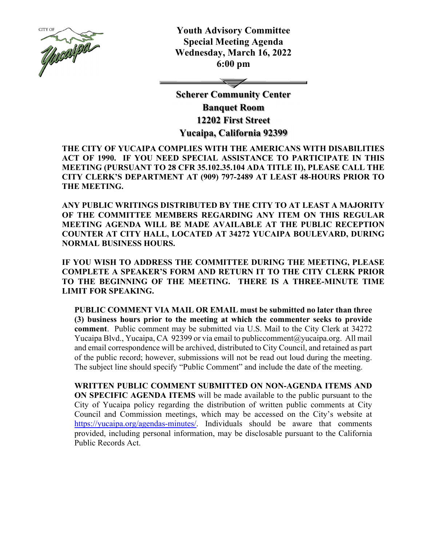

**Youth Advisory Committee Special Meeting Agenda Wednesday, March 16, 2022 6:00 pm** 

**Scherer Community Center Banquet Room 12202 First Street Yucaipa, California 92399** 

**THE CITY OF YUCAIPA COMPLIES WITH THE AMERICANS WITH DISABILITIES ACT OF 1990. IF YOU NEED SPECIAL ASSISTANCE TO PARTICIPATE IN THIS MEETING (PURSUANT TO 28 CFR 35.102.35.104 ADA TITLE II), PLEASE CALL THE CITY CLERK'S DEPARTMENT AT (909) 797-2489 AT LEAST 48-HOURS PRIOR TO THE MEETING.** 

**ANY PUBLIC WRITINGS DISTRIBUTED BY THE CITY TO AT LEAST A MAJORITY OF THE COMMITTEE MEMBERS REGARDING ANY ITEM ON THIS REGULAR MEETING AGENDA WILL BE MADE AVAILABLE AT THE PUBLIC RECEPTION COUNTER AT CITY HALL, LOCATED AT 34272 YUCAIPA BOULEVARD, DURING NORMAL BUSINESS HOURS.** 

**IF YOU WISH TO ADDRESS THE COMMITTEE DURING THE MEETING, PLEASE COMPLETE A SPEAKER'S FORM AND RETURN IT TO THE CITY CLERK PRIOR TO THE BEGINNING OF THE MEETING. THERE IS A THREE-MINUTE TIME LIMIT FOR SPEAKING.** 

**PUBLIC COMMENT VIA MAIL OR EMAIL must be submitted no later than three (3) business hours prior to the meeting at which the commenter seeks to provide comment**. Public comment may be submitted via U.S. Mail to the City Clerk at 34272 Yucaipa Blvd., Yucaipa, CA 92399 or via email to publiccomment@yucaipa.org. All mail and email correspondence will be archived, distributed to City Council, and retained as part of the public record; however, submissions will not be read out loud during the meeting. The subject line should specify "Public Comment" and include the date of the meeting.

**WRITTEN PUBLIC COMMENT SUBMITTED ON NON-AGENDA ITEMS AND ON SPECIFIC AGENDA ITEMS** will be made available to the public pursuant to the City of Yucaipa policy regarding the distribution of written public comments at City Council and Commission meetings, which may be accessed on the City's website at https://yucaipa.org/agendas-minutes/. Individuals should be aware that comments provided, including personal information, may be disclosable pursuant to the California Public Records Act.